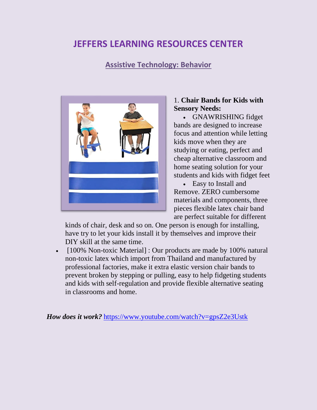# **JEFFERS LEARNING RESOURCES CENTER**

## **Assistive Technology: Behavior**



#### 1. **Chair Bands for Kids with Sensory Needs:**

• GNAWRISHING fidget bands are designed to increase focus and attention while letting kids move when they are studying or eating, perfect and cheap alternative classroom and home seating solution for your students and kids with fidget feet

• Easy to Install and Remove. ZERO cumbersome materials and components, three pieces flexible latex chair band are perfect suitable for different

kinds of chair, desk and so on. One person is enough for installing, have try to let your kids install it by themselves and improve their DIY skill at the same time.

• [100% Non-toxic Material] : Our products are made by 100% natural non-toxic latex which import from Thailand and manufactured by professional factories, make it extra elastic version chair bands to prevent broken by stepping or pulling, easy to help fidgeting students and kids with self-regulation and provide flexible alternative seating in classrooms and home.

*How does it work?* <https://www.youtube.com/watch?v=gpsZ2e3Ustk>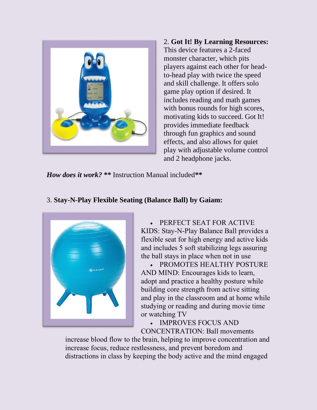

2. **Got It! By Learning Resources:**  This device features a 2-faced monster character, which pits players against each other for headto-head play with twice the speed and skill challenge. It offers solo game play option if desired. It includes reading and math games with bonus rounds for high scores, motivating kids to succeed. Got It! provides immediate feedback through fun graphics and sound effects, and also allows for quiet play with adjustable volume control and 2 headphone jacks.

*How does it work?* **\*\*** Instruction Manual included**\*\***

#### 3. **Stay-N-Play Flexible Seating (Balance Ball) by Gaiam:**



• PERFECT SEAT FOR ACTIVE KIDS: Stay-N-Play Balance Ball provides a flexible seat for high energy and active kids and includes 5 soft stabilizing legs assuring the ball stays in place when not in use

• PROMOTES HEALTHY POSTURE AND MIND: Encourages kids to learn, adopt and practice a healthy posture while building core strength from active sitting and play in the classroom and at home while studying or reading and during movie time or watching TV

• IMPROVES FOCUS AND CONCENTRATION: Ball movements

increase blood flow to the brain, helping to improve concentration and increase focus, reduce restlessness, and prevent boredom and distractions in class by keeping the body active and the mind engaged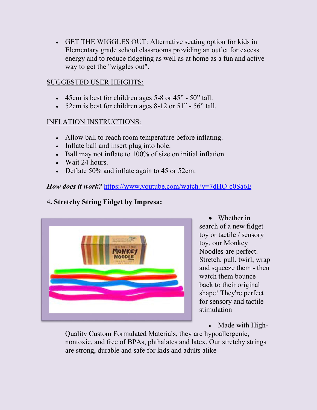• GET THE WIGGLES OUT: Alternative seating option for kids in Elementary grade school classrooms providing an outlet for excess energy and to reduce fidgeting as well as at home as a fun and active way to get the "wiggles out".

## SUGGESTED USER HEIGHTS:

- 45cm is best for children ages 5-8 or 45" 50" tall.
- 52cm is best for children ages 8-12 or 51" 56" tall.

#### INFLATION INSTRUCTIONS:

- Allow ball to reach room temperature before inflating.
- Inflate ball and insert plug into hole.
- Ball may not inflate to 100% of size on initial inflation.
- Wait 24 hours.
- Deflate 50% and inflate again to 45 or 52cm.

## *How does it work?* <https://www.youtube.com/watch?v=7dHQ-c0Sa6E>

## 4**. Stretchy String Fidget by Impresa:**



• Whether in search of a new fidget toy or tactile / sensory toy, our Monkey Noodles are perfect. Stretch, pull, twirl, wrap and squeeze them - then watch them bounce back to their original shape! They're perfect for sensory and tactile stimulation

• Made with High-

Quality Custom Formulated Materials, they are hypoallergenic, nontoxic, and free of BPAs, phthalates and latex. Our stretchy strings are strong, durable and safe for kids and adults alike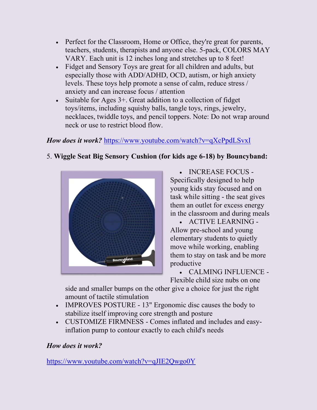- Perfect for the Classroom, Home or Office, they're great for parents, teachers, students, therapists and anyone else. 5-pack, COLORS MAY VARY. Each unit is 12 inches long and stretches up to 8 feet!
- Fidget and Sensory Toys are great for all children and adults, but especially those with ADD/ADHD, OCD, autism, or high anxiety levels. These toys help promote a sense of calm, reduce stress / anxiety and can increase focus / attention
- Suitable for Ages 3+. Great addition to a collection of fidget toys/items, including squishy balls, tangle toys, rings, jewelry, necklaces, twiddle toys, and pencil toppers. Note: Do not wrap around neck or use to restrict blood flow.

# *How does it work?* <https://www.youtube.com/watch?v=qXcPpdLSvxI>

# 5. **Wiggle Seat Big Sensory Cushion (for kids age 6-18) by Bouncyband:**



• INCREASE FOCUS - Specifically designed to help young kids stay focused and on task while sitting - the seat gives them an outlet for excess energy in the classroom and during meals

• ACTIVE LEARNING - Allow pre-school and young elementary students to quietly move while working, enabling them to stay on task and be more productive

• CALMING INFLUENCE - Flexible child size nubs on one

side and smaller bumps on the other give a choice for just the right amount of tactile stimulation

- IMPROVES POSTURE 13" Ergonomic disc causes the body to stabilize itself improving core strength and posture
- CUSTOMIZE FIRMNESS Comes inflated and includes and easyinflation pump to contour exactly to each child's needs

## *How does it work?*

<https://www.youtube.com/watch?v=qJIE2Qwgo0Y>